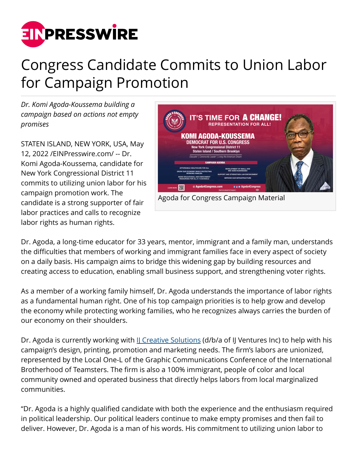

## Congress Candidate Commits to Union Labor for Campaign Promotion

*Dr. Komi Agoda-Koussema building a campaign based on actions not empty promises*

STATEN ISLAND, NEW YORK, USA, May 12, 2022 /[EINPresswire.com/](http://www.einpresswire.com) -- Dr. Komi Agoda-Koussema, candidate for New York Congressional District 11 commits to utilizing union labor for his campaign promotion work. The candidate is a strong supporter of fair labor practices and calls to recognize labor rights as human rights.



Dr. Agoda, a long-time educator for 33 years, mentor, immigrant and a family man, understands the difficulties that members of working and immigrant families face in every aspect of society on a daily basis. His campaign aims to bridge this widening gap by building resources and creating access to education, enabling small business support, and strengthening voter rights.

As a member of a working family himself, Dr. Agoda understands the importance of labor rights as a fundamental human right. One of his top campaign priorities is to help grow and develop the economy while protecting working families, who he recognizes always carries the burden of our economy on their shoulders.

Dr. Agoda is currently working with II Creative Solutions (d/b/a of II Ventures Inc) to help with his campaign's design, printing, promotion and marketing needs. The firm's labors are unionized, represented by the Local One-L of the Graphic Communications Conference of the International Brotherhood of Teamsters. The firm is also a 100% immigrant, people of color and local community owned and operated business that directly helps labors from local marginalized communities.

"Dr. Agoda is a highly qualified candidate with both the experience and the enthusiasm required in political leadership. Our political leaders continue to make empty promises and then fail to deliver. However, Dr. Agoda is a man of his words. His commitment to utilizing union labor to